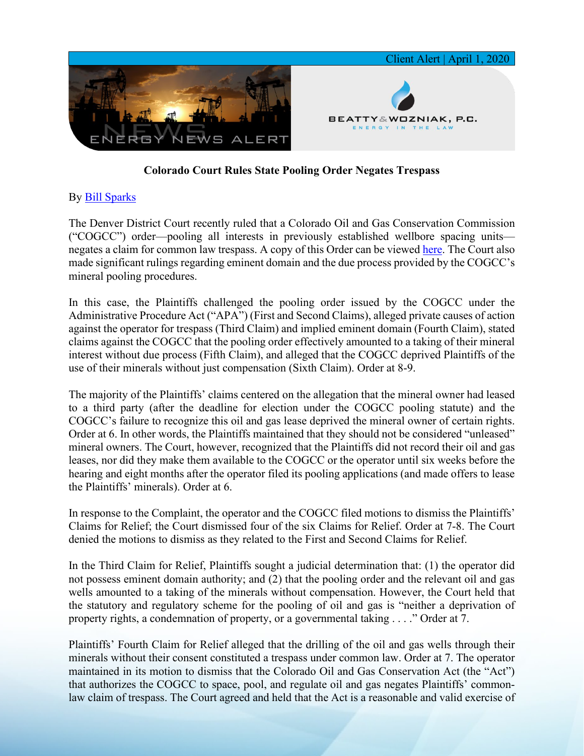

## **Colorado Court Rules State Pooling Order Negates Trespass**

## By [Bill Sparks](https://www.bwenergylaw.com/william-sparks)

The Denver District Court recently ruled that a Colorado Oil and Gas Conservation Commission ("COGCC") order—pooling all interests in previously established wellbore spacing units negates a claim for common law trespass. A copy of this Order can be viewed [here.](https://7786d557-4329-4d99-be6b-ee891e97ad6a.filesusr.com/ugd/368105_49db0d1da6c7436bb1cafae466e6f25a.pdf) The Court also made significant rulings regarding eminent domain and the due process provided by the COGCC's mineral pooling procedures.

In this case, the Plaintiffs challenged the pooling order issued by the COGCC under the Administrative Procedure Act ("APA") (First and Second Claims), alleged private causes of action against the operator for trespass (Third Claim) and implied eminent domain (Fourth Claim), stated claims against the COGCC that the pooling order effectively amounted to a taking of their mineral interest without due process (Fifth Claim), and alleged that the COGCC deprived Plaintiffs of the use of their minerals without just compensation (Sixth Claim). Order at 8-9.

The majority of the Plaintiffs' claims centered on the allegation that the mineral owner had leased to a third party (after the deadline for election under the COGCC pooling statute) and the COGCC's failure to recognize this oil and gas lease deprived the mineral owner of certain rights. Order at 6. In other words, the Plaintiffs maintained that they should not be considered "unleased" mineral owners. The Court, however, recognized that the Plaintiffs did not record their oil and gas leases, nor did they make them available to the COGCC or the operator until six weeks before the hearing and eight months after the operator filed its pooling applications (and made offers to lease the Plaintiffs' minerals). Order at 6.

In response to the Complaint, the operator and the COGCC filed motions to dismiss the Plaintiffs' Claims for Relief; the Court dismissed four of the six Claims for Relief. Order at 7-8. The Court denied the motions to dismiss as they related to the First and Second Claims for Relief.

In the Third Claim for Relief, Plaintiffs sought a judicial determination that: (1) the operator did not possess eminent domain authority; and (2) that the pooling order and the relevant oil and gas wells amounted to a taking of the minerals without compensation. However, the Court held that the statutory and regulatory scheme for the pooling of oil and gas is "neither a deprivation of property rights, a condemnation of property, or a governmental taking . . . ." Order at 7.

Plaintiffs' Fourth Claim for Relief alleged that the drilling of the oil and gas wells through their minerals without their consent constituted a trespass under common law. Order at 7. The operator maintained in its motion to dismiss that the Colorado Oil and Gas Conservation Act (the "Act") that authorizes the COGCC to space, pool, and regulate oil and gas negates Plaintiffs' commonlaw claim of trespass. The Court agreed and held that the Act is a reasonable and valid exercise of